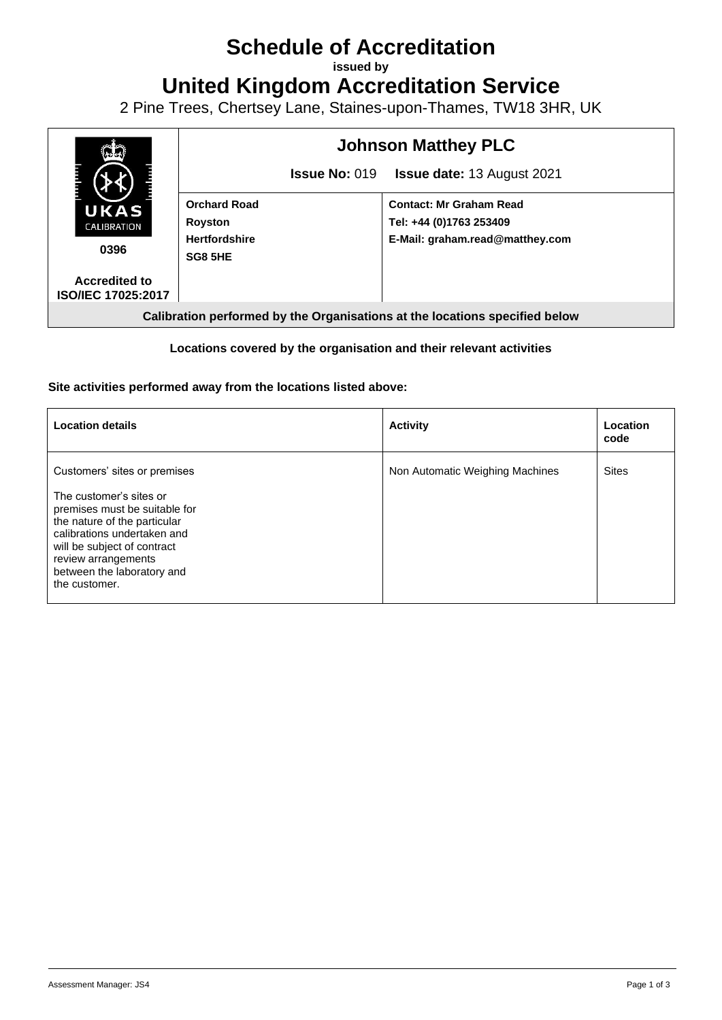# **Schedule of Accreditation**

**issued by**

**United Kingdom Accreditation Service**

2 Pine Trees, Chertsey Lane, Staines-upon-Thames, TW18 3HR, UK



## **Locations covered by the organisation and their relevant activities**

## **Site activities performed away from the locations listed above:**

| <b>Location details</b>                                                                                                                                                                                                                                      | <b>Activity</b>                 | Location<br>code |
|--------------------------------------------------------------------------------------------------------------------------------------------------------------------------------------------------------------------------------------------------------------|---------------------------------|------------------|
| Customers' sites or premises<br>The customer's sites or<br>premises must be suitable for<br>the nature of the particular<br>calibrations undertaken and<br>will be subject of contract<br>review arrangements<br>between the laboratory and<br>the customer. | Non Automatic Weighing Machines | <b>Sites</b>     |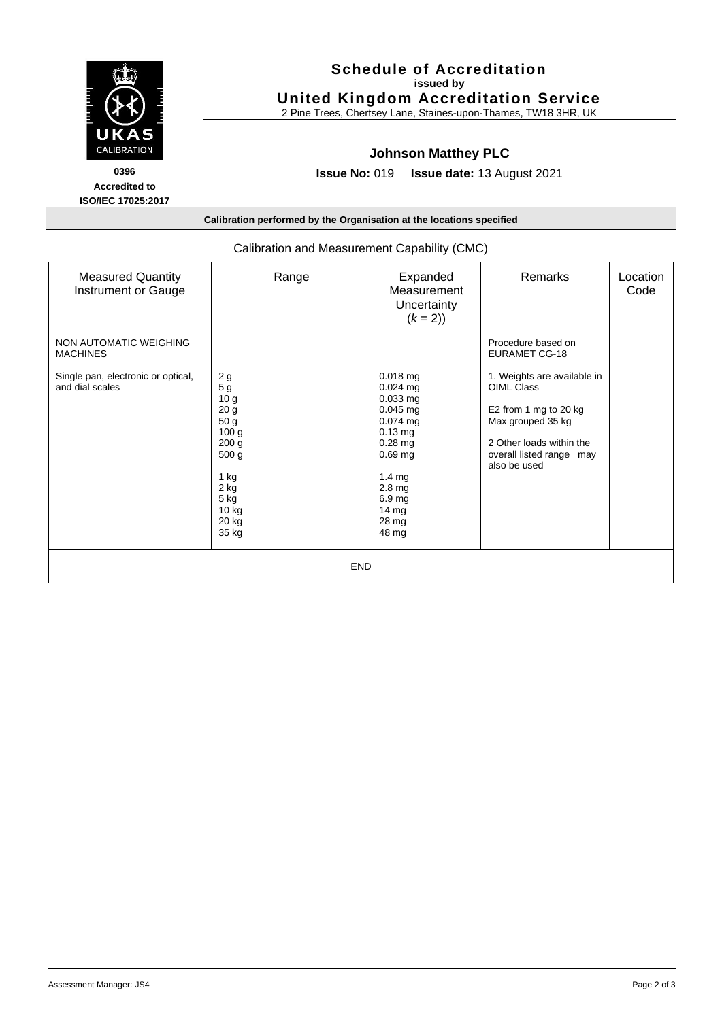| UKAS<br>CALIBRATION                                       | <b>Schedule of Accreditation</b><br>issued by<br><b>United Kingdom Accreditation Service</b><br>2 Pine Trees, Chertsey Lane, Staines-upon-Thames, TW18 3HR, UK |  |  |
|-----------------------------------------------------------|----------------------------------------------------------------------------------------------------------------------------------------------------------------|--|--|
|                                                           | <b>Johnson Matthey PLC</b>                                                                                                                                     |  |  |
| 0396<br><b>Accredited to</b><br><b>ISO/IEC 17025:2017</b> | <b>Issue No: 019</b><br><b>Issue date: 13 August 2021</b>                                                                                                      |  |  |
|                                                           | Calibration performed by the Organisation at the locations specified                                                                                           |  |  |

| <b>Measured Quantity</b><br>Instrument or Gauge                                                    | Range                                                                                                                                                                             | Expanded<br>Measurement<br>Uncertainty<br>$(k = 2)$                                                                                                                                             | Remarks                                                                                                                                                                                                       | Location<br>Code |  |  |  |
|----------------------------------------------------------------------------------------------------|-----------------------------------------------------------------------------------------------------------------------------------------------------------------------------------|-------------------------------------------------------------------------------------------------------------------------------------------------------------------------------------------------|---------------------------------------------------------------------------------------------------------------------------------------------------------------------------------------------------------------|------------------|--|--|--|
| NON AUTOMATIC WEIGHING<br><b>MACHINES</b><br>Single pan, electronic or optical,<br>and dial scales | 2g<br>5 <sub>g</sub><br>10 <sub>g</sub><br>20 <sub>g</sub><br>50 g<br>100 <sub>g</sub><br>200 <sub>g</sub><br>500 <sub>g</sub><br>1 kg<br>2 kg<br>5 kg<br>10 kg<br>20 kg<br>35 kg | 0.018 mg<br>$0.024$ mg<br>$0.033$ mg<br>$0.045$ mg<br>$0.074$ mg<br>$0.13$ mg<br>$0.28$ mg<br>$0.69$ mg<br>$1.4 \text{ mg}$<br>2.8 <sub>mg</sub><br>6.9 mg<br>$14 \text{ mg}$<br>28 mg<br>48 mg | Procedure based on<br><b>EURAMET CG-18</b><br>1. Weights are available in<br>OIML Class<br>E2 from 1 mg to 20 kg<br>Max grouped 35 kg<br>2 Other loads within the<br>overall listed range may<br>also be used |                  |  |  |  |
|                                                                                                    |                                                                                                                                                                                   |                                                                                                                                                                                                 |                                                                                                                                                                                                               |                  |  |  |  |
| <b>END</b>                                                                                         |                                                                                                                                                                                   |                                                                                                                                                                                                 |                                                                                                                                                                                                               |                  |  |  |  |

# Calibration and Measurement Capability (CMC)